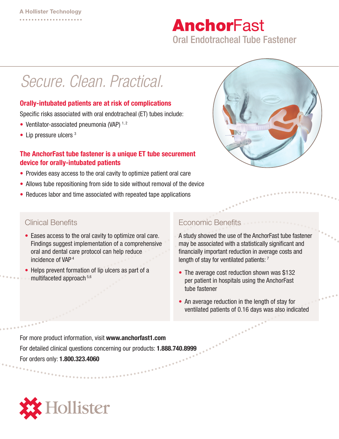# **AnchorFast**

Oral Endotracheal Tube Fastener

## *Secure. Clean. Practical.*

#### Orally-intubated patients are at risk of complications

Specific risks associated with oral endotracheal (ET) tubes include:

- Ventilator-associated pneumonia (VAP)  $1, 2$
- Lip pressure ulcers<sup>3</sup>

#### The AnchorFast tube fastener is a unique ET tube securement device for orally-intubated patients

- Provides easy access to the oral cavity to optimize patient oral care
- Allows tube repositioning from side to side without removal of the device
- Reduces labor and time associated with repeated tape applications



### Clinical Benefits

- Eases access to the oral cavity to optimize oral care. Findings suggest implementation of a comprehensive oral and dental care protocol can help reduce incidence of VAP 4
- Helps prevent formation of lip ulcers as part of a multifaceted approach 5,6

### Economic Benefits

A study showed the use of the AnchorFast tube fastener may be associated with a statistically significant and financially important reduction in average costs and length of stay for ventilated patients: 7

- The average cost reduction shown was \$132 per patient in hospitals using the AnchorFast tube fastener
- An average reduction in the length of stay for ventilated patients of 0.16 days was also indicated

For more product information, visit www.anchorfast1.com For detailed clinical questions concerning our products: 1.888.740.8999 For orders only: 1.800.323.4060